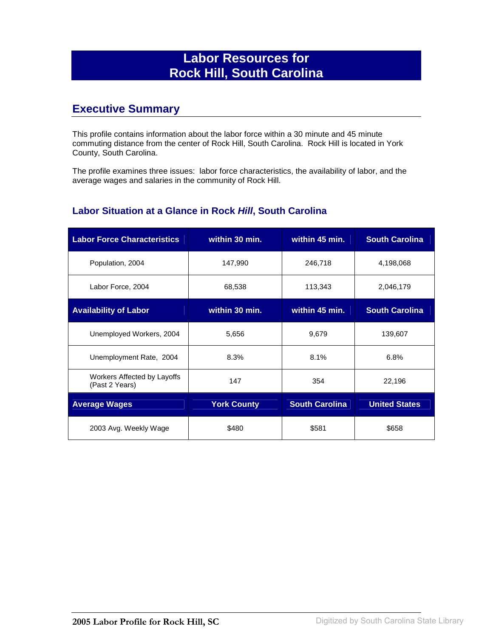## **Labor Resources for Rock Hill, South Carolina**

### **Executive Summary**

This profile contains information about the labor force within a 30 minute and 45 minute commuting distance from the center of Rock Hill, South Carolina. Rock Hill is located in York County, South Carolina.

The profile examines three issues: labor force characteristics, the availability of labor, and the average wages and salaries in the community of Rock Hill.

#### **Labor Situation at a Glance in Rock Hill, South Carolina**

| <b>Labor Force Characteristics</b>            | within 30 min.     | within 45 min.        | <b>South Carolina</b> |
|-----------------------------------------------|--------------------|-----------------------|-----------------------|
| Population, 2004                              | 147,990            | 246,718               | 4,198,068             |
| Labor Force, 2004                             | 68,538             | 113,343               | 2,046,179             |
| <b>Availability of Labor</b>                  | within 30 min.     | within 45 min.        | <b>South Carolina</b> |
| Unemployed Workers, 2004                      | 5,656              | 9,679                 | 139,607               |
| Unemployment Rate, 2004                       | 8.3%               | 8.1%                  | 6.8%                  |
| Workers Affected by Layoffs<br>(Past 2 Years) | 147                | 354                   | 22,196                |
| <b>Average Wages</b>                          | <b>York County</b> | <b>South Carolina</b> | <b>United States</b>  |
| 2003 Avg. Weekly Wage                         | \$480              | \$581                 | \$658                 |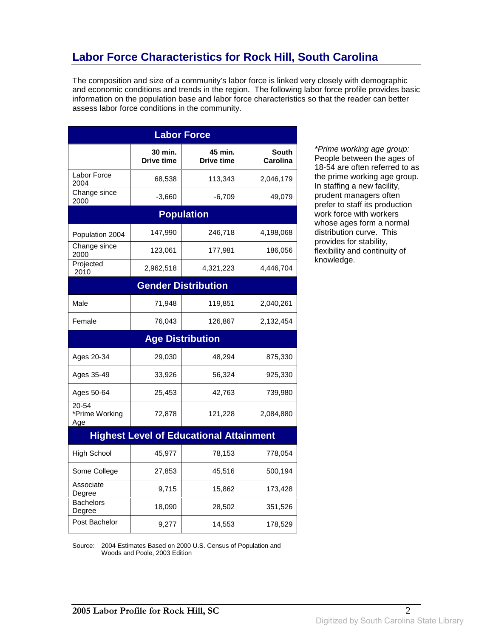# **Labor Force Characteristics for Rock Hill, South Carolina**

The composition and size of a community's labor force is linked very closely with demographic and economic conditions and trends in the region. The following labor force profile provides basic information on the population base and labor force characteristics so that the reader can better assess labor force conditions in the community.

| <b>Labor Force</b>             |                              |                                                |                                 |
|--------------------------------|------------------------------|------------------------------------------------|---------------------------------|
|                                | 30 min.<br><b>Drive time</b> | 45 min.<br><b>Drive time</b>                   | <b>South</b><br><b>Carolina</b> |
| Labor Force<br>2004            | 68,538                       | 113,343                                        | 2,046,179                       |
| Change since<br>2000           | $-3,660$                     | $-6,709$                                       | 49,079                          |
|                                |                              | <b>Population</b>                              |                                 |
| Population 2004                | 147,990                      | 246,718                                        | 4,198,068                       |
| Change since<br>2000           | 123,061                      | 177,981                                        | 186,056                         |
| Projected<br>2010              | 2,962,518                    | 4,321,223                                      | 4,446,704                       |
|                                |                              | <b>Gender Distribution</b>                     |                                 |
| Male                           | 71,948                       | 119,851                                        | 2,040,261                       |
| Female                         | 76,043                       | 126,867                                        | 2,132,454                       |
|                                |                              | <b>Age Distribution</b>                        |                                 |
| Ages 20-34                     | 29,030                       | 48,294                                         | 875,330                         |
| Ages 35-49                     | 33,926                       | 56,324                                         | 925,330                         |
| Ages 50-64                     | 25,453                       | 42,763                                         | 739,980                         |
| 20-54<br>*Prime Working<br>Age | 72,878                       | 121,228                                        | 2,084,880                       |
|                                |                              | <b>Highest Level of Educational Attainment</b> |                                 |
| <b>High School</b>             | 45,977                       | 78,153                                         | 778,054                         |
| Some College                   | 27,853                       | 45,516                                         | 500,194                         |
| Associate<br>Degree            | 9,715                        | 15,862                                         | 173,428                         |
| <b>Bachelors</b><br>Degree     | 18,090                       | 28,502                                         | 351,526                         |
| Post Bachelor                  | 9,277                        | 14,553                                         | 178,529                         |

\*Prime working age group: People between the ages of 18-54 are often referred to as the prime working age group. In staffing a new facility, prudent managers often prefer to staff its production work force with workers whose ages form a normal distribution curve. This provides for stability, flexibility and continuity of knowledge.

Source: 2004 Estimates Based on 2000 U.S. Census of Population and Woods and Poole, 2003 Edition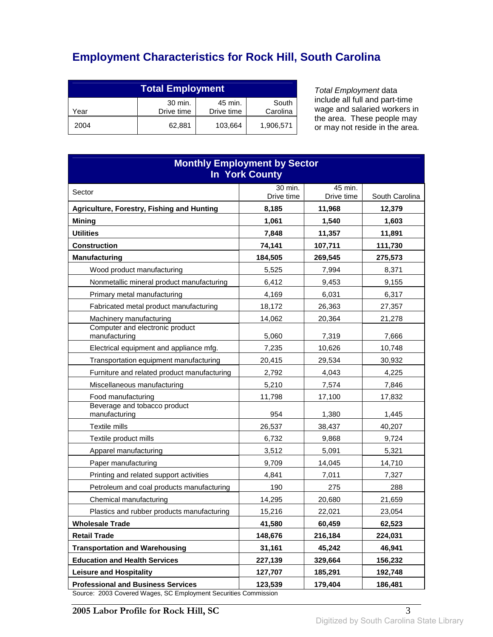# **Employment Characteristics for Rock Hill, South Carolina**

| <b>Total Employment</b>                                                     |        |         |           |
|-----------------------------------------------------------------------------|--------|---------|-----------|
| 30 min.<br>45 min.<br>South<br>Carolina<br>Drive time<br>Drive time<br>Year |        |         |           |
| 2004                                                                        | 62.881 | 103,664 | 1,906,571 |

Total Employment data include all full and part-time wage and salaried workers in the area. These people may or may not reside in the area.

| <b>Monthly Employment by Sector</b><br>In York County       |                |                       |                 |
|-------------------------------------------------------------|----------------|-----------------------|-----------------|
| Sector                                                      | 30 min.        | 45 min.<br>Drive time |                 |
|                                                             | Drive time     |                       | South Carolina  |
| Agriculture, Forestry, Fishing and Hunting<br><b>Mining</b> | 8,185<br>1,061 | 11,968<br>1,540       | 12,379<br>1,603 |
| <b>Utilities</b>                                            | 7,848          | 11,357                | 11,891          |
| <b>Construction</b>                                         | 74,141         | 107,711               | 111,730         |
| <b>Manufacturing</b>                                        | 184,505        | 269,545               | 275,573         |
| Wood product manufacturing                                  | 5,525          | 7,994                 | 8,371           |
| Nonmetallic mineral product manufacturing                   | 6,412          | 9,453                 | 9,155           |
| Primary metal manufacturing                                 | 4,169          | 6,031                 | 6,317           |
| Fabricated metal product manufacturing                      | 18,172         | 26,363                | 27,357          |
| Machinery manufacturing                                     | 14,062         | 20,364                | 21,278          |
| Computer and electronic product<br>manufacturing            | 5,060          | 7,319                 | 7,666           |
| Electrical equipment and appliance mfg.                     | 7,235          | 10,626                | 10,748          |
| Transportation equipment manufacturing                      | 20,415         | 29,534                | 30,932          |
| Furniture and related product manufacturing                 | 2,792          | 4,043                 | 4,225           |
| Miscellaneous manufacturing                                 | 5,210          | 7,574                 | 7,846           |
| Food manufacturing                                          | 11,798         | 17,100                | 17,832          |
| Beverage and tobacco product<br>manufacturing               | 954            | 1,380                 | 1,445           |
| Textile mills                                               | 26,537         | 38,437                | 40,207          |
| Textile product mills                                       | 6,732          | 9,868                 | 9,724           |
| Apparel manufacturing                                       | 3,512          | 5,091                 | 5,321           |
| Paper manufacturing                                         | 9,709          | 14,045                | 14,710          |
| Printing and related support activities                     | 4,841          | 7,011                 | 7,327           |
| Petroleum and coal products manufacturing                   | 190            | 275                   | 288             |
| Chemical manufacturing                                      | 14,295         | 20,680                | 21,659          |
| Plastics and rubber products manufacturing                  | 15,216         | 22,021                | 23,054          |
| <b>Wholesale Trade</b>                                      | 41,580         | 60,459                | 62,523          |
| <b>Retail Trade</b>                                         | 148,676        | 216,184               | 224,031         |
| <b>Transportation and Warehousing</b>                       | 31,161         | 45,242                | 46,941          |
| <b>Education and Health Services</b>                        | 227,139        | 329,664               | 156,232         |
| <b>Leisure and Hospitality</b>                              | 127,707        | 185,291               | 192,748         |
| <b>Professional and Business Services</b>                   | 123,539        | 179,404               | 186,481         |

Source: 2003 Covered Wages, SC Employment Securities Commission

**2005 Labor Profile for Rock Hill, SC** 3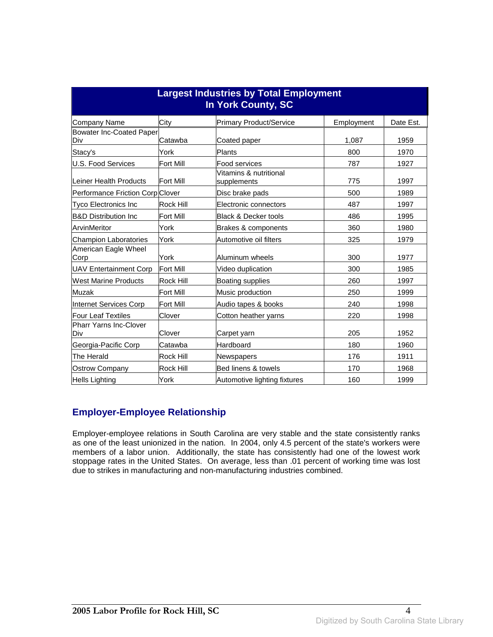| <b>Largest Industries by Total Employment</b><br>In York County, SC |                  |                                       |            |           |
|---------------------------------------------------------------------|------------------|---------------------------------------|------------|-----------|
| Company Name                                                        | City             | <b>Primary Product/Service</b>        | Employment | Date Est. |
| Bowater Inc-Coated Paper<br>Div                                     | Catawba          | Coated paper                          | 1,087      | 1959      |
| Stacy's                                                             | York             | Plants                                | 800        | 1970      |
| U.S. Food Services                                                  | Fort Mill        | Food services                         | 787        | 1927      |
| Leiner Health Products                                              | <b>Fort Mill</b> | Vitamins & nutritional<br>supplements | 775        | 1997      |
| Performance Friction Corp Clover                                    |                  | Disc brake pads                       | 500        | 1989      |
| Tyco Electronics Inc                                                | Rock Hill        | Electronic connectors                 | 487        | 1997      |
| <b>B&amp;D Distribution Inc</b>                                     | <b>Fort Mill</b> | <b>Black &amp; Decker tools</b>       | 486        | 1995      |
| ArvinMeritor                                                        | York             | Brakes & components                   | 360        | 1980      |
| <b>Champion Laboratories</b>                                        | York             | Automotive oil filters                | 325        | 1979      |
| American Eagle Wheel<br>Corp                                        | York             | Aluminum wheels                       | 300        | 1977      |
| <b>UAV Entertainment Corp</b>                                       | <b>Fort Mill</b> | Video duplication                     | 300        | 1985      |
| <b>West Marine Products</b>                                         | Rock Hill        | Boating supplies                      | 260        | 1997      |
| Muzak                                                               | <b>Fort Mill</b> | Music production                      | 250        | 1999      |
| Internet Services Corp                                              | Fort Mill        | Audio tapes & books                   | 240        | 1998      |
| <b>Four Leaf Textiles</b>                                           | Clover           | Cotton heather yarns                  | 220        | 1998      |
| Pharr Yarns Inc-Clover<br>Div                                       | Clover           | Carpet yarn                           | 205        | 1952      |
| Georgia-Pacific Corp                                                | Catawba          | Hardboard                             | 180        | 1960      |
| The Herald                                                          | Rock Hill        | Newspapers                            | 176        | 1911      |
| <b>Ostrow Company</b>                                               | <b>Rock Hill</b> | Bed linens & towels                   | 170        | 1968      |
| <b>Hells Lighting</b>                                               | York             | Automotive lighting fixtures          | 160        | 1999      |

#### **Employer-Employee Relationship**

Employer-employee relations in South Carolina are very stable and the state consistently ranks as one of the least unionized in the nation. In 2004, only 4.5 percent of the state's workers were members of a labor union. Additionally, the state has consistently had one of the lowest work stoppage rates in the United States. On average, less than .01 percent of working time was lost due to strikes in manufacturing and non-manufacturing industries combined.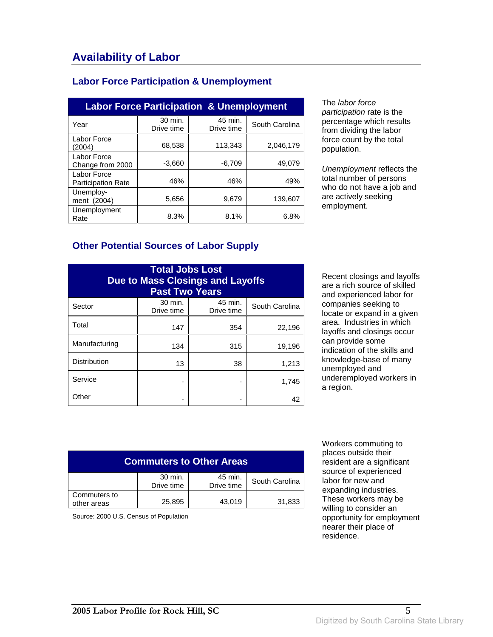### **Labor Force Participation & Unemployment**

| <b>Labor Force Participation &amp; Unemployment</b> |                       |                       |                |
|-----------------------------------------------------|-----------------------|-----------------------|----------------|
| Year                                                | 30 min.<br>Drive time | 45 min.<br>Drive time | South Carolina |
| Labor Force<br>(2004)                               | 68,538                | 113,343               | 2,046,179      |
| Labor Force<br>Change from 2000                     | $-3,660$              | $-6,709$              | 49,079         |
| Labor Force<br><b>Participation Rate</b>            | 46%                   | 46%                   | 49%            |
| Unemploy-<br>ment (2004)                            | 5,656                 | 9,679                 | 139.607        |
| Unemployment<br>Rate                                | 8.3%                  | 8.1%                  | 6.8%           |

The labor force participation rate is the percentage which results from dividing the labor force count by the total population.

Unemployment reflects the total number of persons who do not have a job and are actively seeking employment.

#### **Other Potential Sources of Labor Supply**

| <b>Total Jobs Lost</b><br><b>Due to Mass Closings and Layoffs</b><br><b>Past Two Years</b> |                       |                       |                |
|--------------------------------------------------------------------------------------------|-----------------------|-----------------------|----------------|
| Sector                                                                                     | 30 min.<br>Drive time | 45 min.<br>Drive time | South Carolina |
| Total                                                                                      | 147                   | 354                   | 22,196         |
| Manufacturing                                                                              | 134                   | 315                   | 19,196         |
| <b>Distribution</b>                                                                        | 13                    | 38                    | 1,213          |
| Service                                                                                    |                       |                       | 1,745          |
| Other                                                                                      |                       |                       | 42             |

Recent closings and layoffs are a rich source of skilled and experienced labor for companies seeking to locate or expand in a given area. Industries in which layoffs and closings occur can provide some indication of the skills and knowledge-base of many unemployed and underemployed workers in a region.

| <b>Commuters to Other Areas</b> |                       |                       |                |
|---------------------------------|-----------------------|-----------------------|----------------|
|                                 | 30 min.<br>Drive time | 45 min.<br>Drive time | South Carolina |
| Commuters to<br>other areas     | 25,895                | 43.019                | 31,833         |

Source: 2000 U.S. Census of Population

 Workers commuting to places outside their resident are a significant source of experienced labor for new and expanding industries. These workers may be willing to consider an opportunity for employment nearer their place of residence.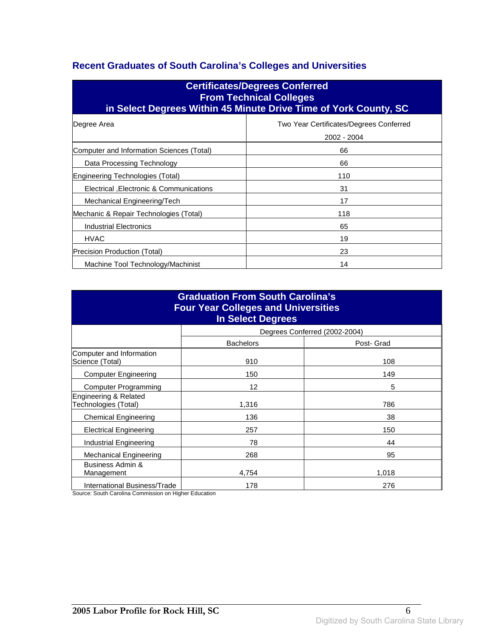### **Recent Graduates of South Carolina's Colleges and Universities**

| <b>Certificates/Degrees Conferred</b><br><b>From Technical Colleges</b><br>in Select Degrees Within 45 Minute Drive Time of York County, SC |                                                        |  |
|---------------------------------------------------------------------------------------------------------------------------------------------|--------------------------------------------------------|--|
| Degree Area                                                                                                                                 | Two Year Certificates/Degrees Conferred<br>2002 - 2004 |  |
| Computer and Information Sciences (Total)                                                                                                   | 66                                                     |  |
| Data Processing Technology                                                                                                                  | 66                                                     |  |
| Engineering Technologies (Total)                                                                                                            | 110                                                    |  |
| Electrical , Electronic & Communications                                                                                                    | 31                                                     |  |
| Mechanical Engineering/Tech                                                                                                                 | 17                                                     |  |
| Mechanic & Repair Technologies (Total)                                                                                                      | 118                                                    |  |
| Industrial Electronics                                                                                                                      | 65                                                     |  |
| <b>HVAC</b>                                                                                                                                 | 19                                                     |  |
| Precision Production (Total)                                                                                                                | 23                                                     |  |
| Machine Tool Technology/Machinist                                                                                                           | 14                                                     |  |

| <b>Graduation From South Carolina's</b><br><b>Four Year Colleges and Universities</b><br>In Select Degrees |                  |                               |  |
|------------------------------------------------------------------------------------------------------------|------------------|-------------------------------|--|
|                                                                                                            |                  | Degrees Conferred (2002-2004) |  |
|                                                                                                            | <b>Bachelors</b> | Post- Grad                    |  |
| Computer and Information<br>Science (Total)                                                                | 910              | 108                           |  |
| <b>Computer Engineering</b>                                                                                | 150              | 149                           |  |
| <b>Computer Programming</b>                                                                                | 12               | 5                             |  |
| Engineering & Related<br>Technologies (Total)                                                              | 1,316            | 786                           |  |
| <b>Chemical Engineering</b>                                                                                | 136              | 38                            |  |
| <b>Electrical Engineering</b>                                                                              | 257              | 150                           |  |
| Industrial Engineering                                                                                     | 78               | 44                            |  |
| <b>Mechanical Engineering</b>                                                                              | 268              | 95                            |  |
| Business Admin &<br>Management                                                                             | 4,754            | 1,018                         |  |
| International Business/Trade                                                                               | 178              | 276                           |  |

Source: South Carolina Commission on Higher Education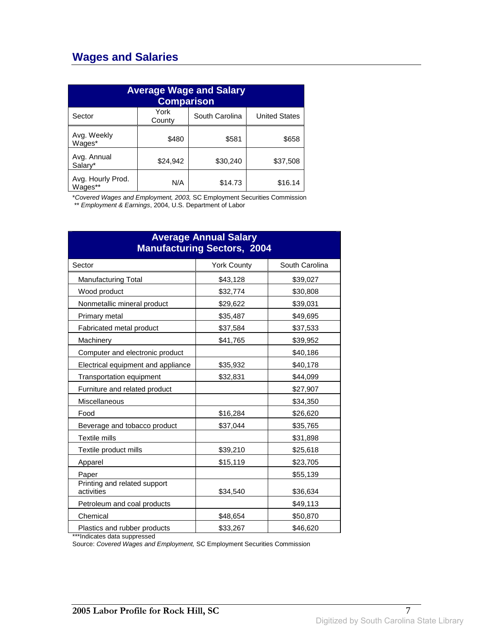## **Wages and Salaries**

| <b>Average Wage and Salary</b><br><b>Comparison</b> |                |                |                      |
|-----------------------------------------------------|----------------|----------------|----------------------|
| Sector                                              | York<br>County | South Carolina | <b>United States</b> |
| Avg. Weekly<br>Wages*                               | \$480          | \$581          | \$658                |
| Avg. Annual<br>Salary*                              | \$24,942       | \$30,240       | \$37,508             |
| Avg. Hourly Prod.<br>Wages**                        | N/A            | \$14.73        | \$16.14              |

\*Covered Wages and Employment, 2003, SC Employment Securities Commission

\*\* Employment & Earnings, 2004, U.S. Department of Labor

| <b>Average Annual Salary</b><br><b>Manufacturing Sectors, 2004</b> |                    |                |  |
|--------------------------------------------------------------------|--------------------|----------------|--|
| Sector                                                             | <b>York County</b> | South Carolina |  |
| <b>Manufacturing Total</b>                                         | \$43,128           | \$39,027       |  |
| Wood product                                                       | \$32,774           | \$30,808       |  |
| Nonmetallic mineral product                                        | \$29,622           | \$39,031       |  |
| Primary metal                                                      | \$35,487           | \$49,695       |  |
| Fabricated metal product                                           | \$37,584           | \$37,533       |  |
| Machinery                                                          | \$41,765           | \$39,952       |  |
| Computer and electronic product                                    |                    | \$40,186       |  |
| Electrical equipment and appliance                                 | \$35,932           | \$40,178       |  |
| Transportation equipment                                           | \$32,831           | \$44,099       |  |
| Furniture and related product                                      |                    | \$27,907       |  |
| Miscellaneous                                                      |                    | \$34,350       |  |
| Food                                                               | \$16,284           | \$26,620       |  |
| Beverage and tobacco product                                       | \$37,044           | \$35,765       |  |
| Textile mills                                                      |                    | \$31,898       |  |
| Textile product mills                                              | \$39,210           | \$25,618       |  |
| Apparel                                                            | \$15,119           | \$23,705       |  |
| Paper                                                              |                    | \$55,139       |  |
| Printing and related support<br>activities                         | \$34,540           | \$36,634       |  |
| Petroleum and coal products                                        |                    | \$49,113       |  |
| Chemical                                                           | \$48,654           | \$50,870       |  |
| Plastics and rubber products                                       | \$33,267           | \$46,620       |  |

\*\*\*Indicates data suppressed

Source: Covered Wages and Employment, SC Employment Securities Commission